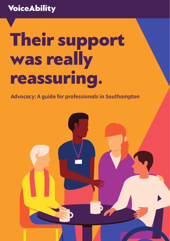### **VoiceAbility**

# **Their support** was really reassuring.

Advocacy: A quide for professionals in Southampton

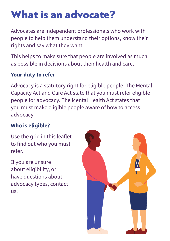### What is an advocate?

Advocates are independent professionals who work with people to help them understand their options, know their rights and say what they want.

This helps to make sure that people are involved as much as possible in decisions about their health and care.

#### **Your duty to refer**

Advocacy is a statutory right for eligible people. The Mental Capacity Act and Care Act state that you must refer eligible people for advocacy. The Mental Health Act states that you must make eligible people aware of how to access advocacy.

#### **Who is eligible?**

Use the grid in this leaflet to find out who you must refer.

If you are unsure about eligibility, or have questions about advocacy types, contact us.

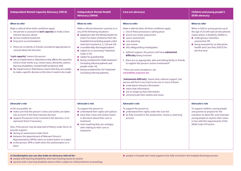| <b>Independent Mental Capacity Advocacy (IMCA)</b>                                                                                                                                                                                                                                                                                                                                                                                                                                                                                                                                                                                                                             | <b>Independent Mental Health</b><br><b>Advocacy (IMHA)</b>                                                                                                                                                                                                                                                                                                                                                                                                                                                                                                           | <b>Care act advocacy</b>                                                                                                                                                                                                                                                                                                                                                                                                                                                                                                                                                                                                                                                                                                                                                                                                          | <b>Children and young people's</b><br><b>SEND advocacy</b>                                                                                                                                                                                                                             |
|--------------------------------------------------------------------------------------------------------------------------------------------------------------------------------------------------------------------------------------------------------------------------------------------------------------------------------------------------------------------------------------------------------------------------------------------------------------------------------------------------------------------------------------------------------------------------------------------------------------------------------------------------------------------------------|----------------------------------------------------------------------------------------------------------------------------------------------------------------------------------------------------------------------------------------------------------------------------------------------------------------------------------------------------------------------------------------------------------------------------------------------------------------------------------------------------------------------------------------------------------------------|-----------------------------------------------------------------------------------------------------------------------------------------------------------------------------------------------------------------------------------------------------------------------------------------------------------------------------------------------------------------------------------------------------------------------------------------------------------------------------------------------------------------------------------------------------------------------------------------------------------------------------------------------------------------------------------------------------------------------------------------------------------------------------------------------------------------------------------|----------------------------------------------------------------------------------------------------------------------------------------------------------------------------------------------------------------------------------------------------------------------------------------|
| <b>When to refer</b><br>Make a referral when both conditions apply:<br>1. the person is assessed to lack capacity to make a best-<br>interest decision about:<br>• serious medical treatment<br>• long-term accommodation<br>2. there are no family or friends considered appropriate to<br>consult about the decision<br>'Lack capacity' means the person:<br>• has an impairment or disturbance that affects the way their<br>mind or brain works (e.g. a brain injury, dementia, autism,<br>learning disabilities, mental health problems) AND<br>• the impairment or disturbance means that they are unable<br>to make a specific decision at the time it needs to be made | When to refer<br>Make a referral whenever a person is in<br>any of the following situations:<br>● detained under the Mental Health Act<br>(even if on leave of absence from the<br>hospital) but excluding people under<br>short term sections 4, 5, 135 and 136<br>• a conditionally discharged patient<br>• subject to a Community Treatment<br>Order (CTO)<br>• subject to guardianship<br>● being considered for S58A treatment<br>(including informal patients and<br>people under 18)<br>● being considered for S57 treatment<br>(including informal patients) | When to refer<br>Make a referral when all three conditions apply:<br>1. one of these processes is taking place:<br>● social care needs assessment<br>$\bullet$ carers assessment<br>$\bullet$ care planning<br>$\bullet$ care review<br>• S42 safeguarding investigation<br>2. without support, the person will have substantial<br>difficulty being involved<br>3. there are no appropriate, able and willing family or friends<br>to support the person's active involvement*<br>*There are some exceptions: see<br>voiceability.org/care-act<br>'Substantial difficulty' means that, without support, the<br>person will find it very hard to do one or more of these:<br>● understand relevant information<br>• retain that information<br>• use or weigh up that information<br>$\bullet$ communicate their wishes and views | When to refer<br>When a child or young person up to<br>the age of 25 with special educational<br>needs and/or a disability (SEND) is:<br>$\bullet$ undergoing a transition<br>assessment OR<br>• being assessed for an Education,<br>Health and Care Plan (EHCP) for<br>the first time |
| <b>Advocate's role</b><br>As far as possible, to:<br>• make sure that the person's views and wishes are taken<br>into account in the best-interests decision<br>• support the person to be involved in the decision, or to<br>represent them if necessary<br>Also, if the person may be deprived of liberty under DoLS, to<br>provide support:<br>· during an assessment under DoLS<br>• between the appointment of Relevant Person's<br>Representatives (RPRs) when an authorisation is in place<br>● to the person, RPR or both when the authorisation is in<br>place                                                                                                        | <b>Advocate's role</b><br>To support the person to:<br>$\bullet$ understand their rights and options<br>$\bullet$ have their views and wishes heard<br>in decisions about their care or<br>treatment<br>$\bullet$ raise anything they are unhappy<br>with relating to their care or<br>treatment                                                                                                                                                                                                                                                                     | <b>Advocate's role</b><br>To support the person to:<br>• understand their rights under the Care Act<br>• be fully involved in the assessment, review or planning<br>process                                                                                                                                                                                                                                                                                                                                                                                                                                                                                                                                                                                                                                                       | <b>Advocate's role</b><br>To support children, young people<br>and parents to prepare for the<br>transition to adult life, and empower<br>young people to express their views<br>in line with the requirements of the<br><b>SEND Code of Practice</b>                                  |

#### **In Southampton you can also make an advocacy referral for:**

- O people with learning disabilities who have housing issues to resolve
- O parents with a learning disability whose child is subject to child protection proceedings

O people in hospital who need support to be fully involved in the hospital discharge process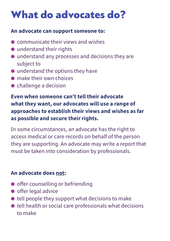### What do advocates do?

#### **An advocate can support someone to:**

- O communicate their views and wishes
- understand their rights
- O understand any processes and decisions they are subject to
- $\bullet$  understand the options they have
- O make their own choices
- O challenge a decision

**Even when someone can't tell their advocate what they want, our advocates will use a range of approaches to establish their views and wishes as far as possible and secure their rights.** 

In some circumstances, an advocate has the right to access medical or care records on behalf of the person they are supporting. An advocate may write a report that must be taken into consideration by professionals.

#### **An advocate does not:**

- offer counselling or befriending
- $\bullet$  offer legal advice
- $\bullet$  tell people they support what decisions to make
- $\bullet$  tell health or social care professionals what decisions to make